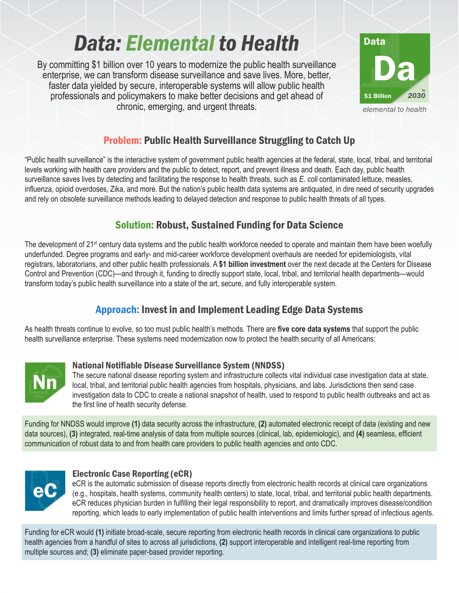# *Data: Elemental to Health*

By committing \$1 billion over 10 years to modernize the public health surveillance enterprise, we can transform disease surveillance and save lives. More, better, faster data yielded by secure, interoperable systems will allow public health professionals and policymakers to make better decisions and get ahead of chronic, emerging, and urgent threats.



# Problem: Public Health Surveillance Struggling to Catch Up

"Public health surveillance" is the interactive system of government public health agencies at the federal, state, local, tribal, and territorial levels working with health care providers and the public to detect, report, and prevent illness and death. Each day, public health surveillance saves lives by detecting and facilitating the response to health threats, such as *E. coli* contaminated lettuce, measles, influenza, opioid overdoses, Zika, and more. But the nation's public health data systems are antiquated, in dire need of security upgrades and rely on obsolete surveillance methods leading to delayed detection and response to public health threats of all types.

## Solution: Robust, Sustained Funding for Data Science

The development of 21<sup>st</sup> century data systems and the public health workforce needed to operate and maintain them have been woefully underfunded. Degree programs and early- and mid-career workforce development overhauls are needed for epidemiologists, vital registrars, laboratorians, and other public health professionals. A **\$1 billion investment** over the next decade at the Centers for Disease Control and Prevention (CDC)—and through it, funding to directly support state, local, tribal, and territorial health departments—would transform today's public health surveillance into a state of the art, secure, and fully interoperable system.

# Approach: Invest in and Implement Leading Edge Data Systems

As health threats continue to evolve, so too must public health's methods. There are **five core data systems** that support the public health surveillance enterprise. These systems need modernization now to protect the health security of all Americans:



## National Notifiable Disease Surveillance System (NNDSS)

The secure national disease reporting system and infrastructure collects vital individual case investigation data at state, local, tribal, and territorial public health agencies from hospitals, physicians, and labs. Jurisdictions then send case investigation data to CDC to create a national snapshot of health, used to respond to public health outbreaks and act as the first line of health security defense.

Funding for NNDSS would improve **(1)** data security across the infrastructure, **(2)** automated electronic receipt of data (existing and new data sources), **(3)** integrated, real-time analysis of data from multiple sources (clinical, lab, epidemiologic), and **(4)** seamless, efficient communication of robust data to and from health care providers to public health agencies and onto CDC.



## Electronic Case Reporting (eCR)

eCR is the automatic submission of disease reports directly from electronic health records at clinical care organizations (e.g., hospitals, health systems, community health centers) to state, local, tribal, and territorial public health departments. eCR reduces physician burden in fulfilling their legal responsibility to report, and dramatically improves disease/condition reporting, which leads to early implementation of public health interventions and limits further spread of infectious agents.

Funding for eCR would **(1)** initiate broad-scale, secure reporting from electronic health records in clinical care organizations to public health agencies from a handful of sites to across all jurisdictions, **(2)** support interoperable and intelligent real-time reporting from multiple sources and; **(3)** eliminate paper-based provider reporting.